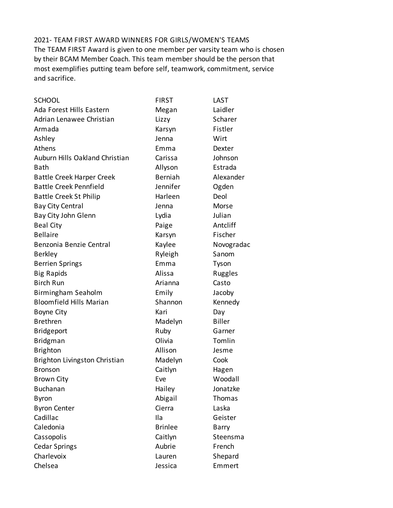2021- TEAM FIRST AWARD WINNERS FOR GIRLS/WOMEN'S TEAMS The TEAM FIRST Award is given to one member per varsity team who is chosen by their BCAM Member Coach. This team member should be the person that most exemplifies putting team before self, teamwork, commitment, service and sacrifice.

| <b>SCHOOL</b>                    | <b>FIRST</b>   | LAST          |
|----------------------------------|----------------|---------------|
| Ada Forest Hills Eastern         | Megan          | Laidler       |
| Adrian Lenawee Christian         | Lizzy          | Scharer       |
| Armada                           | Karsyn         | Fistler       |
| Ashley                           | Jenna          | Wirt          |
| Athens                           | Emma           | Dexter        |
| Auburn Hills Oakland Christian   | Carissa        | Johnson       |
| Bath                             | Allyson        | Estrada       |
| <b>Battle Creek Harper Creek</b> | <b>Berniah</b> | Alexander     |
| <b>Battle Creek Pennfield</b>    | Jennifer       | Ogden         |
| <b>Battle Creek St Philip</b>    | Harleen        | Deol          |
| <b>Bay City Central</b>          | Jenna          | Morse         |
| Bay City John Glenn              | Lydia          | Julian        |
| <b>Beal City</b>                 | Paige          | Antcliff      |
| <b>Bellaire</b>                  | Karsyn         | Fischer       |
| Benzonia Benzie Central          | Kaylee         | Novogradac    |
| <b>Berkley</b>                   | Ryleigh        | Sanom         |
| <b>Berrien Springs</b>           | Emma           | Tyson         |
| <b>Big Rapids</b>                | Alissa         | Ruggles       |
| <b>Birch Run</b>                 | Arianna        | Casto         |
| Birmingham Seaholm               | Emily          | Jacoby        |
| <b>Bloomfield Hills Marian</b>   | Shannon        | Kennedy       |
| <b>Boyne City</b>                | Kari           | Day           |
| <b>Brethren</b>                  | Madelyn        | <b>Biller</b> |
| <b>Bridgeport</b>                | Ruby           | Garner        |
| Bridgman                         | Olivia         | Tomlin        |
| <b>Brighton</b>                  | Allison        | Jesme         |
| Brighton Livingston Christian    | Madelyn        | Cook          |
| <b>Bronson</b>                   | Caitlyn        | Hagen         |
| <b>Brown City</b>                | Eve            | Woodall       |
| <b>Buchanan</b>                  | Hailey         | Jonatzke      |
| <b>Byron</b>                     | Abigail        | Thomas        |
| <b>Byron Center</b>              | Cierra         | Laska         |
| Cadillac                         | Ila            | Geister       |
| Caledonia                        | <b>Brinlee</b> | Barry         |
| Cassopolis                       | Caitlyn        | Steensma      |
| <b>Cedar Springs</b>             | Aubrie         | French        |
| Charlevoix                       | Lauren         | Shepard       |
| Chelsea                          | Jessica        | Emmert        |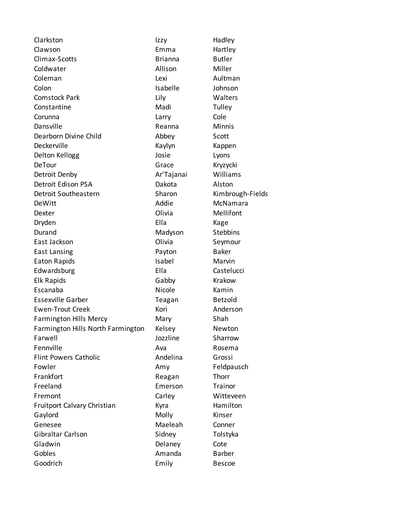| Clarkston                         | Izzy           | Hadley           |
|-----------------------------------|----------------|------------------|
| Clawson                           | Emma           | Hartley          |
| Climax-Scotts                     | <b>Brianna</b> | <b>Butler</b>    |
| Coldwater                         | Allison        | Miller           |
| Coleman                           | Lexi           | Aultman          |
| Colon                             | Isabelle       | Johnson          |
| <b>Comstock Park</b>              | Lily           | Walters          |
| Constantine                       | Madi           | Tulley           |
| Corunna                           | Larry          | Cole             |
| Dansville                         | Reanna         | <b>Minnis</b>    |
| Dearborn Divine Child             | Abbey          | Scott            |
| Deckerville                       | Kaylyn         | Kappen           |
| Delton Kellogg                    | Josie          | Lyons            |
| <b>DeTour</b>                     | Grace          | Kryzycki         |
| Detroit Denby                     | Ar'Tajanai     | Williams         |
| Detroit Edison PSA                | Dakota         | Alston           |
| Detroit Southeastern              | Sharon         | Kimbrough-Fields |
| DeWitt                            | Addie          | McNamara         |
| Dexter                            | Olivia         | Mellifont        |
| Dryden                            | Ella           | Kage             |
| Durand                            | Madyson        | <b>Stebbins</b>  |
| East Jackson                      | Olivia         | Seymour          |
| <b>East Lansing</b>               | Payton         | <b>Baker</b>     |
| Eaton Rapids                      | Isabel         | Marvin           |
| Edwardsburg                       | Ella           | Castelucci       |
| Elk Rapids                        | Gabby          | Krakow           |
| Escanaba                          | Nicole         | Kamin            |
| <b>Essexville Garber</b>          | Teagan         | <b>Betzold</b>   |
| <b>Ewen-Trout Creek</b>           | Kori           | Anderson         |
| <b>Farmington Hills Mercy</b>     | Mary           | Shah             |
| Farmington Hills North Farmington | Kelsey         | Newton           |
| Farwell                           | Jozzline       | Sharrow          |
| Fennville                         | Ava            | Rosema           |
| <b>Flint Powers Catholic</b>      | Andelina       | Grossi           |
| Fowler                            | Amy            | Feldpausch       |
| Frankfort                         | Reagan         | Thorr            |
| Freeland                          | Emerson        | Trainor          |
| Fremont                           | Carley         | Witteveen        |
| Fruitport Calvary Christian       | Kyra           | Hamilton         |
| Gaylord                           | Molly          | Kinser           |
| Genesee                           | Maeleah        | Conner           |
| Gibraltar Carlson                 | Sidney         | Tolstyka         |
| Gladwin                           | Delaney        | Cote             |
| Gobles                            | Amanda         | <b>Barber</b>    |
| Goodrich                          | Emily          | <b>Bescoe</b>    |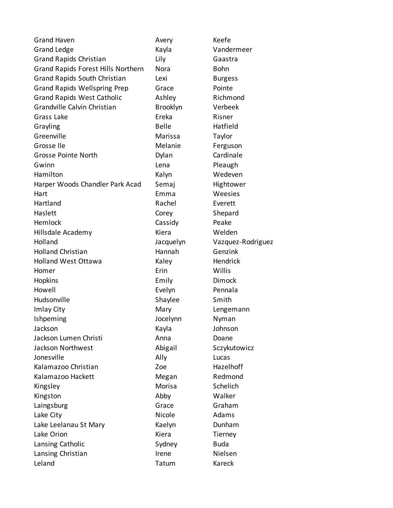| <b>Grand Haven</b>                  | Avery           | Keefe             |
|-------------------------------------|-----------------|-------------------|
| <b>Grand Ledge</b>                  | Kayla           | Vandermeer        |
| <b>Grand Rapids Christian</b>       | Lily            | Gaastra           |
| Grand Rapids Forest Hills Northern  | Nora            | <b>Bohn</b>       |
| Grand Rapids South Christian        | Lexi            | <b>Burgess</b>    |
| <b>Grand Rapids Wellspring Prep</b> | Grace           | Pointe            |
| <b>Grand Rapids West Catholic</b>   | Ashley          | Richmond          |
| Grandville Calvin Christian         | <b>Brooklyn</b> | Verbeek           |
| Grass Lake                          | Ereka           | Risner            |
| Grayling                            | <b>Belle</b>    | Hatfield          |
| Greenville                          | Marissa         | Taylor            |
| Grosse Ile                          | Melanie         | Ferguson          |
| <b>Grosse Pointe North</b>          | Dylan           | Cardinale         |
| Gwinn                               | Lena            | Pleaugh           |
| Hamilton                            | Kalyn           | Wedeven           |
| Harper Woods Chandler Park Acad     | Semaj           | Hightower         |
| Hart                                | Emma            | Weesies           |
| Hartland                            | Rachel          | Everett           |
| Haslett                             | Corey           | Shepard           |
| Hemlock                             | Cassidy         | Peake             |
| Hillsdale Academy                   | Kiera           | Welden            |
| Holland                             | Jacquelyn       | Vazquez-Rodriguez |
| <b>Holland Christian</b>            | Hannah          | Genzink           |
| <b>Holland West Ottawa</b>          | Kaley           | Hendrick          |
| Homer                               | Erin            | Willis            |
| Hopkins                             | Emily           | Dimock            |
| Howell                              | Evelyn          | Pennala           |
| Hudsonville                         | Shaylee         | Smith             |
| Imlay City                          | Mary            | Lengemann         |
| Ishpeming                           | Jocelynn        | Nyman             |
| Jackson                             | Kayla           | Johnson           |
| Jackson Lumen Christi               | Anna            | Doane             |
| Jackson Northwest                   | Abigail         | Sczykutowicz      |
| Jonesville                          | Ally            | Lucas             |
| Kalamazoo Christian                 | Zoe             | Hazelhoff         |
| Kalamazoo Hackett                   | Megan           | Redmond           |
| Kingsley                            | Morisa          | Schelich          |
| Kingston                            | Abby            | Walker            |
| Laingsburg                          | Grace           | Graham            |
| Lake City                           | Nicole          | Adams             |
| Lake Leelanau St Mary               | Kaelyn          | Dunham            |
| Lake Orion                          | Kiera           | Tierney           |
| Lansing Catholic                    | Sydney          | <b>Buda</b>       |
| Lansing Christian                   | Irene           | Nielsen           |
| Leland                              | Tatum           | Kareck            |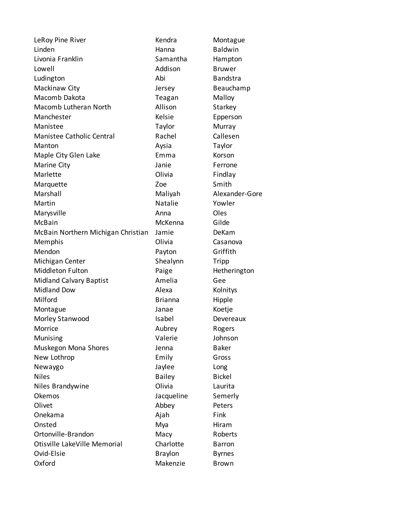| LeRoy Pine River                   | Kendra         | Montague        |  |
|------------------------------------|----------------|-----------------|--|
| Linden                             | Hanna          | <b>Baldwin</b>  |  |
| Livonia Franklin                   | Samantha       | Hampton         |  |
| Lowell                             | Addison        | <b>Bruwer</b>   |  |
| Ludington                          | Abi            | <b>Bandstra</b> |  |
| Mackinaw City                      | Jersey         | Beauchamp       |  |
| Macomb Dakota                      | Teagan         | Malloy          |  |
| Macomb Lutheran North              | Allison        | Starkey         |  |
| Manchester                         | Kelsie         | Epperson        |  |
| Manistee                           | Taylor         | Murray          |  |
| <b>Manistee Catholic Central</b>   | Rachel         | Callesen        |  |
| Manton                             | Aysia          | Taylor          |  |
| Maple City Glen Lake               | Emma           | Korson          |  |
| Marine City                        | Janie          | Ferrone         |  |
| Marlette                           | Olivia         | Findlay         |  |
| Marquette                          | Zoe            | Smith           |  |
| Marshall                           | Maliyah        | Alexander-Gore  |  |
| Martin                             | Natalie        | Yowler          |  |
| Marysville                         | Anna           | Oles            |  |
| McBain                             | McKenna        | Gilde           |  |
| McBain Northern Michigan Christian | Jamie          | DeKam           |  |
| Memphis                            | Olivia         | Casanova        |  |
| Mendon                             | Payton         | Griffith        |  |
| Michigan Center                    | Shealynn       | Tripp           |  |
| <b>Middleton Fulton</b>            | Paige          | Hetherington    |  |
| <b>Midland Calvary Baptist</b>     | Amelia         | Gee             |  |
| <b>Midland Dow</b>                 | Alexa          | Kolnitys        |  |
| Milford                            | <b>Brianna</b> | Hipple          |  |
| Montague                           | Janae          | Koetje          |  |
| Morley Stanwood                    | Isabel         | Devereaux       |  |
| Morrice                            | Aubrey         | Rogers          |  |
| Munising                           | Valerie        | Johnson         |  |
| Muskegon Mona Shores               | Jenna          | <b>Baker</b>    |  |
| New Lothrop                        | Emily          | Gross           |  |
| Newaygo                            | Jaylee         | Long            |  |
| <b>Niles</b>                       | <b>Bailey</b>  | <b>Bickel</b>   |  |
| Niles Brandywine                   | Olivia         | Laurita         |  |
| Okemos                             | Jacqueline     | Semerly         |  |
| Olivet                             | Abbey          | Peters          |  |
| Onekama                            | Ajah           | Fink            |  |
| Onsted                             | Mya            | Hiram           |  |
| Ortonville-Brandon                 | Macy           | Roberts         |  |
| Otisville LakeVille Memorial       | Charlotte      | <b>Barron</b>   |  |
| Ovid-Elsie                         | <b>Braylon</b> | <b>Byrnes</b>   |  |
| Oxford                             | Makenzie       | <b>Brown</b>    |  |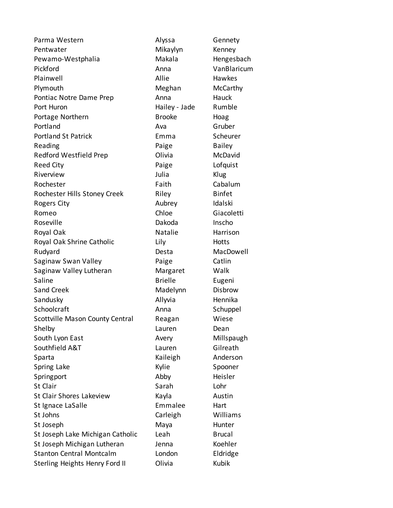Parma Western **Alyssa** Gennety Pentwater **Mikaylyn** Kenney Pewamo-Westphalia Makala Hengesbach Pickford **Anna** VanBlaricum Plainwell **Allie Hawkes** Plymouth Meghan McCarthy Pontiac Notre Dame Prep **Anna** Hauck Port Huron **Hailey - Jade** Rumble Portage Northern Brooke Hoag Portland **Ava** Ava Gruber Portland St Patrick **Emma** Scheurer Reading **Paige** Bailey Redford Westfield Prep **Contact Colli**via McDavid Reed City **Reed City Paige Paige Paige Lofquist** Riverview **Iulia** Service School and Tulia Rochester **Faith** Cabalum Rochester Hills Stoney Creek Riley Riley Binfet Rogers City **Aubrey** Aubrey **Idalski** Romeo Chloe Chloe Giacoletti Roseville **National Inschonsole Dakoda** Inscho Royal Oak **Natalie** Harrison Royal Oak Shrine Catholic **Lily** Lily Hotts Rudyard **Desta** Desta MacDowell Saginaw Swan Valley **Paige** Catlin Saginaw Valley Lutheran Margaret Walk Saline **Brielle** Eugeni Sand Creek **Madelynn** Disbrow Sandusky **Allyvia** Hennika Schoolcraft **Anna** Schuppel Scottville Mason County Central Reagan Wiese Shelby Lauren Dean South Lyon East **Avery** Avery Millspaugh Southfield A&T Contract Lauren Gilreath Sparta **Kaileigh** Anderson Spring Lake **System Spooner** Kylie Spooner Springport Abby Heisler St Clair **Sanct Clair** Communist Clair Communist Communist Communist Communist Communist Communist Communist Com St Clair Shores Lakeview Kayla Kayla St Ignace LaSalle **Emmalee** Hart St Johns **Carleigh** Williams St Joseph Maya Maya Hunter St Joseph Lake Michigan Catholic Leah Brucal St Joseph Michigan Lutheran Jenna Koehler Stanton Central Montcalm **London** Eldridge Sterling Heights Henry Ford II Olivia Kubik